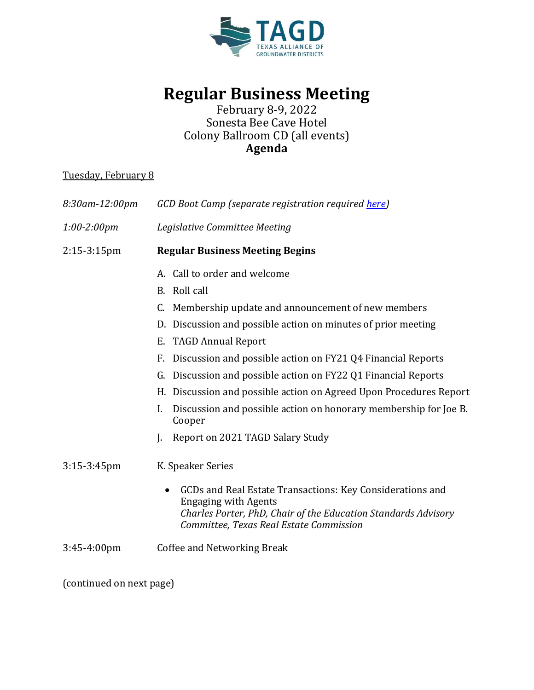

## **Regular Business Meeting**

## February 8-9, 2022 Sonesta Bee Cave Hotel Colony Ballroom CD (all events) **Agenda**

## Tuesday, February 8

| 8:30am-12:00pm   | GCD Boot Camp (separate registration required here)                                                                                                                                                                |
|------------------|--------------------------------------------------------------------------------------------------------------------------------------------------------------------------------------------------------------------|
| 1:00-2:00pm      | Legislative Committee Meeting                                                                                                                                                                                      |
| $2:15-3:15$ pm   | <b>Regular Business Meeting Begins</b>                                                                                                                                                                             |
|                  | A. Call to order and welcome                                                                                                                                                                                       |
|                  | B. Roll call                                                                                                                                                                                                       |
|                  | Membership update and announcement of new members<br>C.                                                                                                                                                            |
|                  | Discussion and possible action on minutes of prior meeting<br>D.                                                                                                                                                   |
|                  | <b>TAGD Annual Report</b><br>Е.                                                                                                                                                                                    |
|                  | Discussion and possible action on FY21 Q4 Financial Reports<br>F.                                                                                                                                                  |
|                  | Discussion and possible action on FY22 Q1 Financial Reports<br>G.                                                                                                                                                  |
|                  | Discussion and possible action on Agreed Upon Procedures Report<br>Н.                                                                                                                                              |
|                  | Discussion and possible action on honorary membership for Joe B.<br>I.<br>Cooper                                                                                                                                   |
|                  | Report on 2021 TAGD Salary Study<br>J.                                                                                                                                                                             |
| $3:15-3:45$ pm   | K. Speaker Series                                                                                                                                                                                                  |
|                  | GCDs and Real Estate Transactions: Key Considerations and<br>$\bullet$<br><b>Engaging with Agents</b><br>Charles Porter, PhD, Chair of the Education Standards Advisory<br>Committee, Texas Real Estate Commission |
| $3:45 - 4:00$ pm | <b>Coffee and Networking Break</b>                                                                                                                                                                                 |

(continued on next page)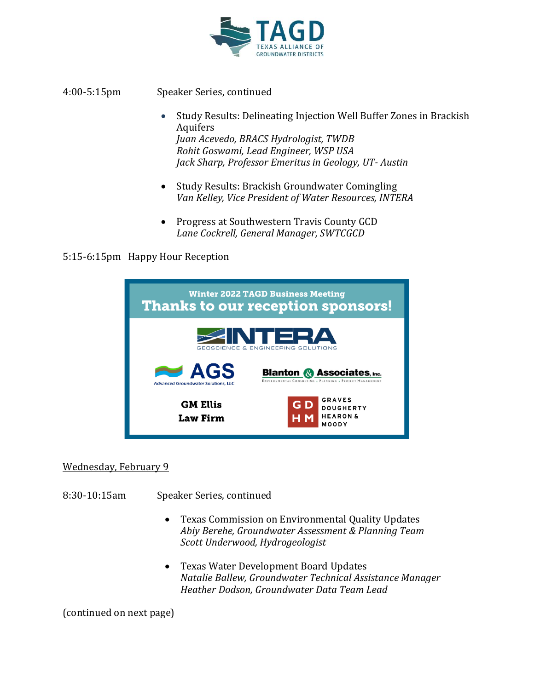

4:00-5:15pm Speaker Series, continued

- Study Results: Delineating Injection Well Buffer Zones in Brackish Aquifers *Juan Acevedo, BRACS Hydrologist, TWDB Rohit Goswami, Lead Engineer, WSP USA Jack Sharp, Professor Emeritus in Geology, UT- Austin*
- Study Results: Brackish Groundwater Comingling *Van Kelley, Vice President of Water Resources, INTERA*
- Progress at Southwestern Travis County GCD *Lane Cockrell, General Manager, SWTCGCD*

5:15-6:15pm Happy Hour Reception



Wednesday, February 9

8:30-10:15am Speaker Series, continued

- Texas Commission on Environmental Quality Updates *Abiy Berehe, Groundwater Assessment & Planning Team Scott Underwood, Hydrogeologist*
- Texas Water Development Board Updates *Natalie Ballew, Groundwater Technical Assistance Manager Heather Dodson, Groundwater Data Team Lead*

(continued on next page)